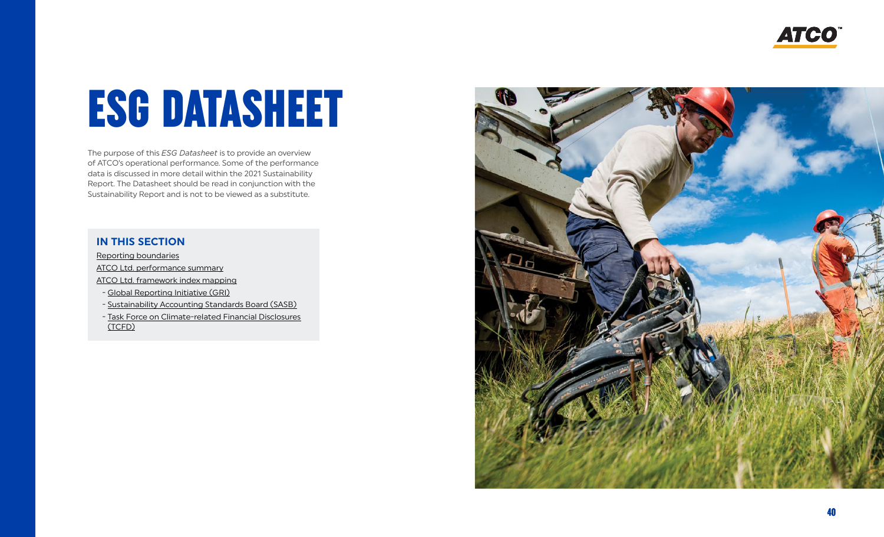**ATCO** 

# <span id="page-0-0"></span>ESG DATASHEET

The purpose of this *ESG Datasheet* is to provide an overview of ATCO's operational performance. Some of the performance data is discussed in more detail within the 2021 Sustainability Report. The Datasheet should be read in conjunction with the Sustainability Report and is not to be viewed as a substitute.

### **IN THIS SECTION**

[Reporting boundaries](#page-1-0)

[ATCO Ltd. performance summary](#page-3-0)

[ATCO Ltd. framework index mapping](#page-9-0)

- [Global Reporting Initiative \(GRI\)](#page-9-0)

- [Sustainability Accounting Standards Board \(SASB\)](#page-13-0)

 - [Task Force on Climate-related Financial Disclosures](#page-14-0) (TCFD)

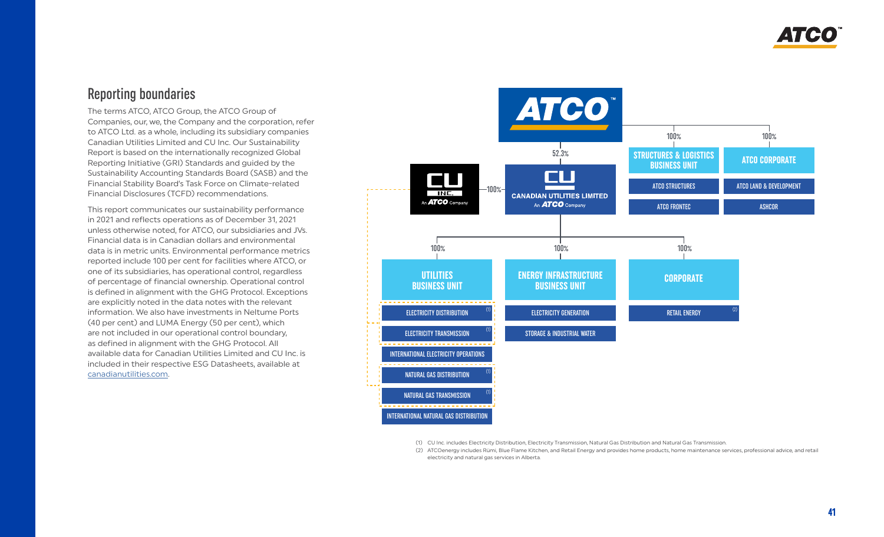## <span id="page-1-0"></span>Reporting boundaries

The terms ATCO, ATCO Group, the ATCO Group of Companies, our, we, the Company and the corporation, refer to ATCO Ltd. as a whole, including its subsidiary companies Canadian Utilities Limited and CU Inc. Our Sustainability Report is based on the internationally recognized Global Reporting Initiative (GRI) Standards and guided by the Sustainability Accounting Standards Board (SASB) and the Financial Stability Board's Task Force on Climate-related Financial Disclosures (TCFD) recommendations.

This report communicates our sustainability performance in 2021 and reflects operations as of December 31, 2021 unless otherwise noted, for ATCO, our subsidiaries and JVs. Financial data is in Canadian dollars and environmental data is in metric units. Environmental performance metrics reported include 100 per cent for facilities where ATCO, or one of its subsidiaries, has operational control, regardless of percentage of financial ownership. Operational control is defined in alignment with the GHG Protocol. Exceptions are explicitly noted in the data notes with the relevant information. We also have investments in Neltume Ports (40 per cent) and LUMA Energy (50 per cent), which are not included in our operational control boundary, as defined in alignment with the GHG Protocol. All available data for Canadian Utilities Limited and CU Inc. is included in their respective ESG Datasheets, available at [canadianutilities.com.](https://www.canadianutilities.com/en-ca.html)



(1) CU Inc. includes Electricity Distribution, Electricity Transmission, Natural Gas Distribution and Natural Gas Transmission.

(2) ATCOenergy includes Rümi, Blue Flame Kitchen, and Retail Energy and provides home products, home maintenance services, professional advice, and retail electricity and natural gas services in Alberta.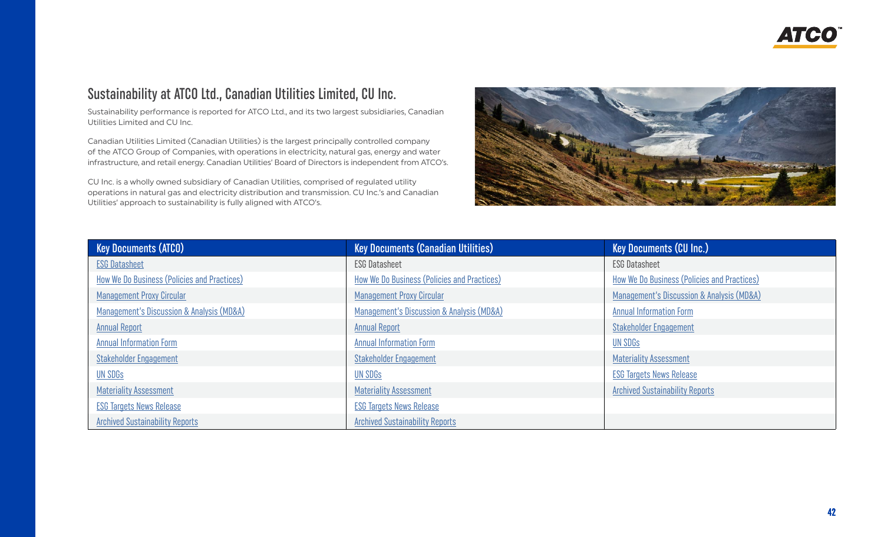## Sustainability at ATCO Ltd., Canadian Utilities Limited, CU Inc.

Sustainability performance is reported for ATCO Ltd., and its two largest subsidiaries, Canadian Utilities Limited and CU Inc.

Canadian Utilities Limited (Canadian Utilities) is the largest principally controlled company of the ATCO Group of Companies, with operations in electricity, natural gas, energy and water infrastructure, and retail energy. Canadian Utilities' Board of Directors is independent from ATCO's.

CU Inc. is a wholly owned subsidiary of Canadian Utilities, comprised of regulated utility operations in natural gas and electricity distribution and transmission. CU Inc.'s and Canadian Utilities' approach to sustainability is fully aligned with ATCO's.



| Key Documents (ATCO)                        | <b>Key Documents (Canadian Utilities)</b>   | <b>Key Documents (CU Inc.)</b>              |
|---------------------------------------------|---------------------------------------------|---------------------------------------------|
| <b>ESG Datasheet</b>                        | <b>ESG Datasheet</b>                        | <b>ESG Datasheet</b>                        |
| How We Do Business (Policies and Practices) | How We Do Business (Policies and Practices) | How We Do Business (Policies and Practices) |
| <b>Management Proxy Circular</b>            | <b>Management Proxy Circular</b>            | Management's Discussion & Analysis (MD&A)   |
| Management's Discussion & Analysis (MD&A)   | Management's Discussion & Analysis (MD&A)   | <b>Annual Information Form</b>              |
| <b>Annual Report</b>                        | <b>Annual Report</b>                        | <b>Stakeholder Engagement</b>               |
| <b>Annual Information Form</b>              | <b>Annual Information Form</b>              | UN SDG <sub>S</sub>                         |
| <b>Stakeholder Engagement</b>               | <b>Stakeholder Engagement</b>               | <b>Materiality Assessment</b>               |
| UN SDGS                                     | <b>UN SDGS</b>                              | <b>ESG Targets News Release</b>             |
| <b>Materiality Assessment</b>               | <b>Materiality Assessment</b>               | <b>Archived Sustainability Reports</b>      |
| <b>ESG Targets News Release</b>             | <b>ESG Targets News Release</b>             |                                             |
| <b>Archived Sustainability Reports</b>      | <b>Archived Sustainability Reports</b>      |                                             |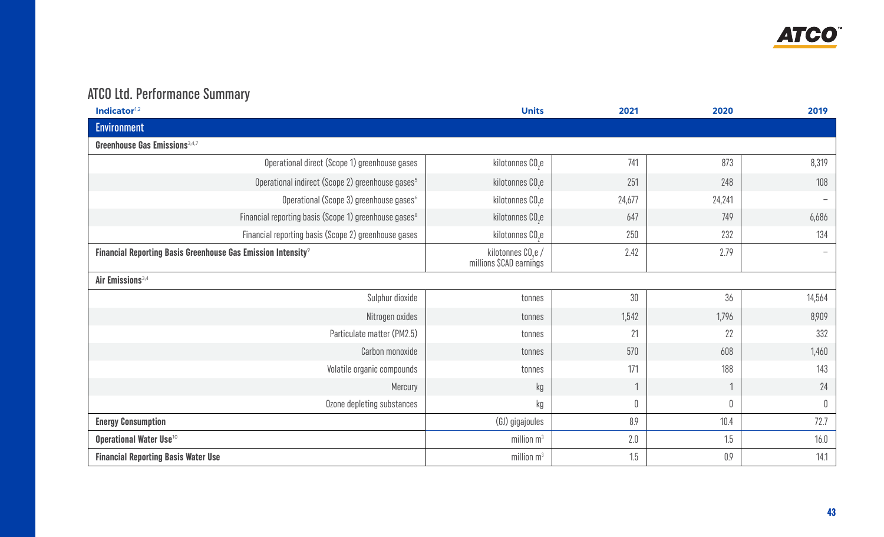

## <span id="page-3-0"></span>ATCO Ltd. Performance Summary

| Indicator <sup>1,2</sup>                                                 | <b>Units</b>                                              | 2021         | 2020    | 2019        |
|--------------------------------------------------------------------------|-----------------------------------------------------------|--------------|---------|-------------|
| <b>Environment</b>                                                       |                                                           |              |         |             |
| <b>Greenhouse Gas Emissions</b> <sup>3,4,7</sup>                         |                                                           |              |         |             |
| Operational direct (Scope 1) greenhouse gases                            | kilotonnes CO <sub>2</sub> e                              | 741          | 873     | 8,319       |
| Operational indirect (Scope 2) greenhouse gases <sup>5</sup>             | kilotonnes CO <sub>2</sub> e                              | 251          | 248     | 108         |
| Operational (Scope 3) greenhouse gases <sup>6</sup>                      | kilotonnes CO <sub>2</sub> e                              | 24,677       | 24,241  |             |
| Financial reporting basis (Scope 1) greenhouse gases <sup>8</sup>        | kilotonnes CO <sub>2</sub> e                              | 647          | 749     | 6,686       |
| Financial reporting basis (Scope 2) greenhouse gases                     | kilotonnes CO <sub>2</sub> e                              | 250          | 232     | 134         |
| Financial Reporting Basis Greenhouse Gas Emission Intensity <sup>9</sup> | kilotonnes CO <sub>2</sub> e /<br>millions \$CAD earnings | 2.42         | 2.79    |             |
| Air Emissions <sup>3,4</sup>                                             |                                                           |              |         |             |
| Sulphur dioxide                                                          | tonnes                                                    | 30           | 36      | 14,564      |
| Nitrogen oxides                                                          | tonnes                                                    | 1,542        | 1,796   | 8,909       |
| Particulate matter (PM2.5)                                               | tonnes                                                    | 21           | 22      | 332         |
| Carbon monoxide                                                          | tonnes                                                    | 570          | 608     | 1,460       |
| Volatile organic compounds                                               | tonnes                                                    | 171          | 188     | 143         |
| Mercury                                                                  | kg                                                        | $\mathbf{1}$ | 1       | 24          |
| Ozone depleting substances                                               | kg                                                        | 0            | 0       | $\mathbb 0$ |
| <b>Energy Consumption</b>                                                | (GJ) gigajoules                                           | 8.9          | 10.4    | 72.7        |
| Operational Water Use <sup>10</sup>                                      | million $m3$                                              | 2.0          | 1.5     | 16.0        |
| <b>Financial Reporting Basis Water Use</b>                               | million $m3$                                              | 1.5          | $0.9\,$ | 14.1        |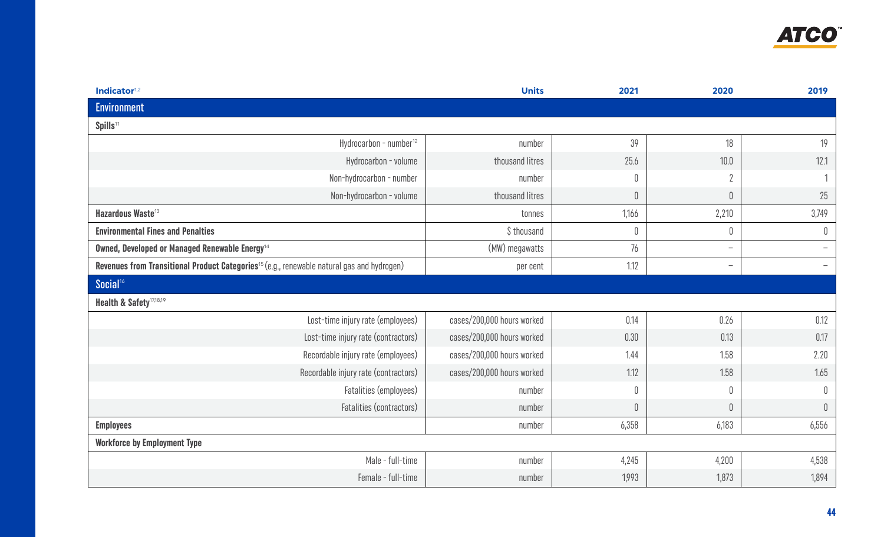

<span id="page-4-0"></span>

| Indicator <sup>1,2</sup>                                                                               | <b>Units</b>               | 2021        | 2020                     | 2019        |
|--------------------------------------------------------------------------------------------------------|----------------------------|-------------|--------------------------|-------------|
| <b>Environment</b>                                                                                     |                            |             |                          |             |
| Spills <sup>11</sup>                                                                                   |                            |             |                          |             |
| Hydrocarbon - number <sup>12</sup>                                                                     | number                     | 39          | 18                       | 19          |
| Hydrocarbon - volume                                                                                   | thousand litres            | 25.6        | $10.0$                   | 12.1        |
| Non-hydrocarbon - number                                                                               | number                     | $\mathbb 0$ | $\overline{2}$           |             |
| Non-hydrocarbon - volume                                                                               | thousand litres            | $\mathbf 0$ | $\mathbb 0$              | 25          |
| Hazardous Waste <sup>13</sup>                                                                          | tonnes                     | 1,166       | 2,210                    | 3,749       |
| <b>Environmental Fines and Penalties</b>                                                               | \$thousand                 | $\mathbb 0$ | $\mathbf 0$              | 0           |
| Owned, Developed or Managed Renewable Energy <sup>14</sup>                                             | (MW) megawatts             | 76          | $\overline{\phantom{m}}$ |             |
| Revenues from Transitional Product Categories <sup>15</sup> (e.g., renewable natural gas and hydrogen) | per cent                   | 1.12        | $\overline{\phantom{m}}$ |             |
| Social <sup>16</sup>                                                                                   |                            |             |                          |             |
| Health & Safety <sup>17,18,19</sup>                                                                    |                            |             |                          |             |
| Lost-time injury rate (employees)                                                                      | cases/200,000 hours worked | 0.14        | 0.26                     | 0.12        |
| Lost-time injury rate (contractors)                                                                    | cases/200,000 hours worked | 0.30        | 0.13                     | 0.17        |
| Recordable injury rate (employees)                                                                     | cases/200,000 hours worked | 1.44        | 1.58                     | 2.20        |
| Recordable injury rate (contractors)                                                                   | cases/200,000 hours worked | 1.12        | 1.58                     | 1.65        |
| Fatalities (employees)                                                                                 | number                     | $\mathbb 0$ | $\mathbb 0$              | 0           |
| Fatalities (contractors)                                                                               | number                     | $\mathbf 0$ | $\mathbb 0$              | $\mathbb 0$ |
| <b>Employees</b>                                                                                       | number                     | 6,358       | 6,183                    | 6,556       |
| <b>Workforce by Employment Type</b>                                                                    |                            |             |                          |             |
| Male - full-time                                                                                       | number                     | 4,245       | 4,200                    | 4,538       |
| Female - full-time                                                                                     | number                     | 1,993       | 1,873                    | 1,894       |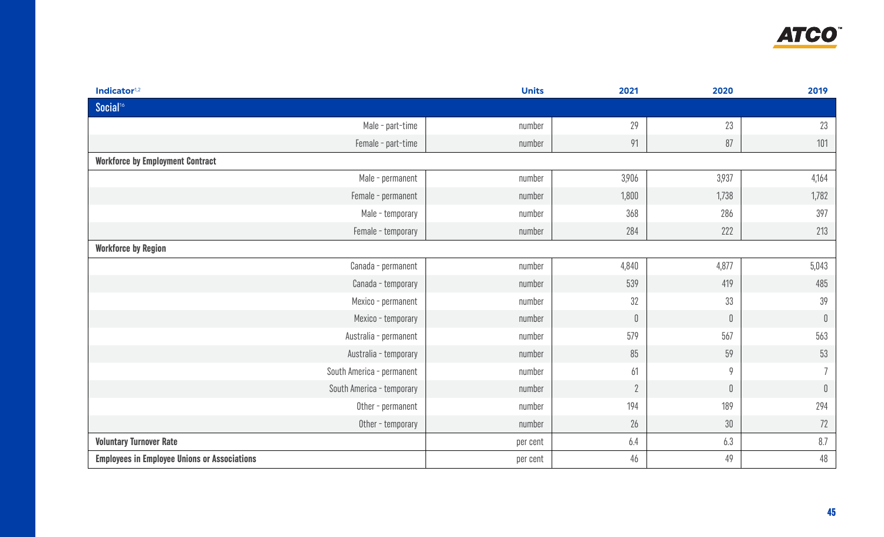

| Indicator <sup>1,2</sup>                            | <b>Units</b> | 2021           | 2020        | 2019         |
|-----------------------------------------------------|--------------|----------------|-------------|--------------|
| Social <sup>16</sup>                                |              |                |             |              |
| Male - part-time                                    | number       | 29             | 23          | 23           |
| Female - part-time                                  | number       | 91             | 87          | 101          |
| <b>Workforce by Employment Contract</b>             |              |                |             |              |
| Male - permanent                                    | number       | 3,906          | 3,937       | 4,164        |
| Female - permanent                                  | number       | 1,800          | 1,738       | 1,782        |
| Male - temporary                                    | number       | 368            | 286         | 397          |
| Female - temporary                                  | number       | 284            | 222         | 213          |
| <b>Workforce by Region</b>                          |              |                |             |              |
| Canada - permanent                                  | number       | 4,840          | 4,877       | 5,043        |
| Canada - temporary                                  | number       | 539            | 419         | 485          |
| Mexico - permanent                                  | number       | 32             | 33          | 39           |
| Mexico - temporary                                  | number       | $\theta$       | $\mathbb 0$ | $\mathbb 0$  |
| Australia - permanent                               | number       | 579            | 567         | 563          |
| Australia - temporary                               | number       | 85             | 59          | 53           |
| South America - permanent                           | number       | 61             | 9           |              |
| South America - temporary                           | number       | $\overline{2}$ | $\mathbb 0$ | $\mathbb{0}$ |
| Other - permanent                                   | number       | 194            | 189         | 294          |
| Other - temporary                                   | number       | 26             | $30\,$      | 72           |
| <b>Voluntary Turnover Rate</b>                      | per cent     | 6.4            | 6.3         | 8.7          |
| <b>Employees in Employee Unions or Associations</b> | per cent     | 46             | 49          | $48\,$       |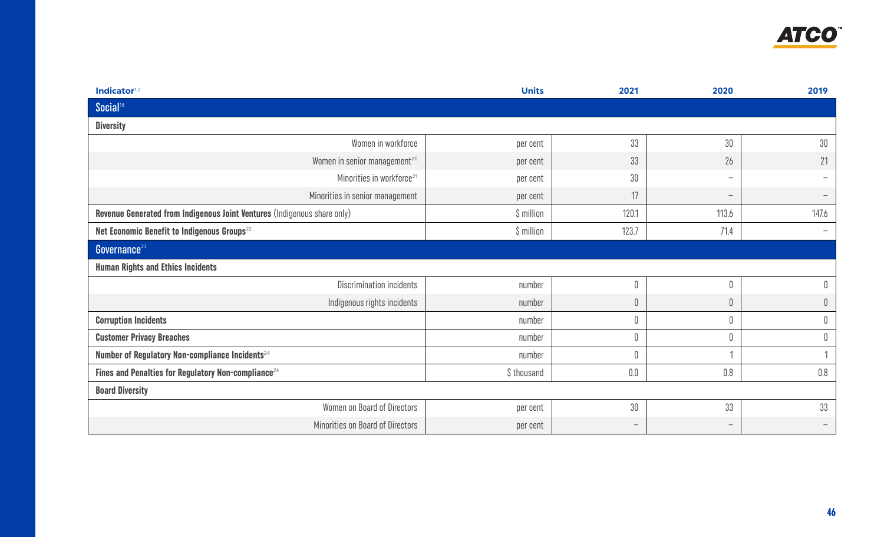

| Indicator <sup>1,2</sup>                                                 | <b>Units</b> | 2021                     | 2020                     | 2019                     |
|--------------------------------------------------------------------------|--------------|--------------------------|--------------------------|--------------------------|
| Social <sup>16</sup>                                                     |              |                          |                          |                          |
| <b>Diversity</b>                                                         |              |                          |                          |                          |
| Women in workforce                                                       | per cent     | 33                       | 30                       | $30\,$                   |
| Women in senior management <sup>20</sup>                                 | per cent     | 33                       | 26                       | 21                       |
| Minorities in workforce <sup>21</sup>                                    | per cent     | 30                       | $\overline{\phantom{m}}$ |                          |
| Minorities in senior management                                          | per cent     | 17                       | $\overline{\phantom{m}}$ |                          |
| Revenue Generated from Indigenous Joint Ventures (Indigenous share only) | $$$ million  | 120.1                    | 113.6                    | 147.6                    |
| Net Economic Benefit to Indigenous Groups <sup>22</sup>                  | \$ million   | 123.7                    | 71.4                     | $\overline{\phantom{0}}$ |
| Governance <sup>23</sup>                                                 |              |                          |                          |                          |
| <b>Human Rights and Ethics Incidents</b>                                 |              |                          |                          |                          |
| Discrimination incidents                                                 | number       |                          | 0                        | 0                        |
| Indigenous rights incidents                                              | number       | 0                        | $\mathbb 0$              | $\mathbb 0$              |
| <b>Corruption Incidents</b>                                              | number       |                          | $\mathbb 0$              | $\mathbb 0$              |
| <b>Customer Privacy Breaches</b>                                         | number       | 0                        | $\mathbb 0$              | $\mathbb 0$              |
| Number of Regulatory Non-compliance Incidents <sup>24</sup>              | number       |                          |                          |                          |
| Fines and Penalties for Regulatory Non-compliance <sup>24</sup>          | \$ thousand  | $0.0\,$                  | 0.8                      | $0.8\,$                  |
| <b>Board Diversity</b>                                                   |              |                          |                          |                          |
| Women on Board of Directors                                              | per cent     | 30                       | 33                       | 33                       |
| Minorities on Board of Directors                                         | per cent     | $\overline{\phantom{m}}$ | $\overline{\phantom{m}}$ |                          |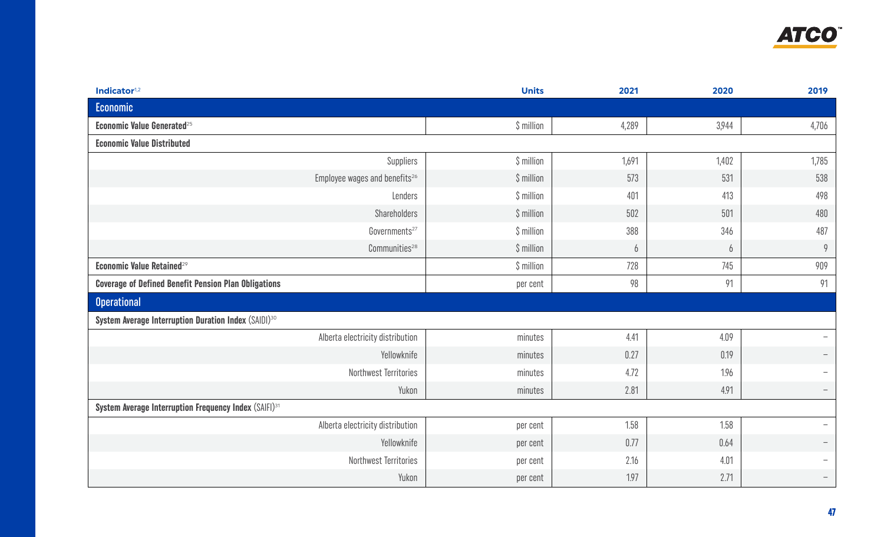

<span id="page-7-0"></span>

| Indicator <sup>1,2</sup>                                          | <b>Units</b> | 2021  | 2020  | 2019                     |
|-------------------------------------------------------------------|--------------|-------|-------|--------------------------|
| Economic                                                          |              |       |       |                          |
| <b>Economic Value Generated</b> <sup>25</sup>                     | $$$ million  | 4,289 | 3,944 | 4,706                    |
| <b>Economic Value Distributed</b>                                 |              |       |       |                          |
| Suppliers                                                         | $$$ million  | 1,691 | 1,402 | 1,785                    |
| Employee wages and benefits <sup>26</sup>                         | $$$ million  | 573   | 531   | 538                      |
| Lenders                                                           | \$ million   | 401   | 413   | 498                      |
| Shareholders                                                      | $$$ million  | 502   | 501   | 480                      |
| Governments <sup>27</sup>                                         | \$ million   | 388   | 346   | 487                      |
| $Communities^{28}$                                                | \$ million   | 6     | 6     | 9                        |
| Economic Value Retained <sup>29</sup>                             | \$ million   | 728   | 745   | 909                      |
| <b>Coverage of Defined Benefit Pension Plan Obligations</b>       | per cent     | 98    | 91    | 91                       |
| <b>Operational</b>                                                |              |       |       |                          |
| System Average Interruption Duration Index (SAIDI) <sup>30</sup>  |              |       |       |                          |
| Alberta electricity distribution                                  | minutes      | 4.41  | 4.09  |                          |
| Yellowknife                                                       | minutes      | 0.27  | 0.19  |                          |
| Northwest Territories                                             | minutes      | 4.72  | 1.96  |                          |
| Yukon                                                             | minutes      | 2.81  | 4.91  |                          |
| System Average Interruption Frequency Index (SAIFI) <sup>31</sup> |              |       |       |                          |
| Alberta electricity distribution                                  | per cent     | 1.58  | 1.58  | $\overline{\phantom{0}}$ |
| Yellowknife                                                       | per cent     | 0.77  | 0.64  |                          |
| Northwest Territories                                             | per cent     | 2.16  | 4.01  |                          |
| Yukon                                                             | per cent     | 1.97  | 2.71  |                          |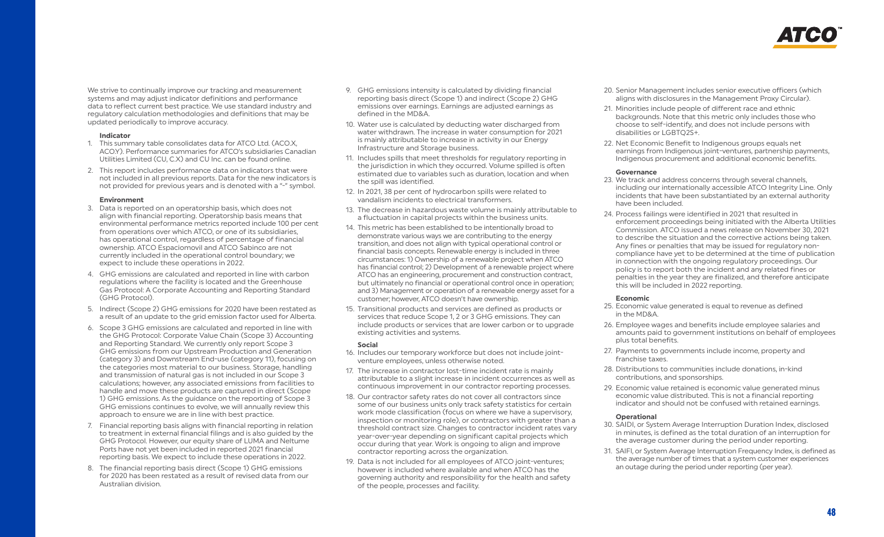

We strive to continually improve our tracking and measurement systems and may adjust indicator definitions and performance data to reflect current best practice. We use standard industry and regulatory calculation methodologies and definitions that may be updated periodically to improve accuracy.

#### **Indicator**

- 1. This summary table consolidates data for ATCO Ltd. (ACO.X, ACO.Y). Performance summaries for ATCO's subsidiaries Canadian Utilities Limited (CU, C.X) and CU Inc. can be found online.
- 2. This report includes performance data on indicators that were not included in all previous reports. Data for the new indicators is not provided for previous years and is denoted with a "-" symbol.

#### **Environment**

- 3. Data is reported on an operatorship basis, which does not align with financial reporting. Operatorship basis means that environmental performance metrics reported include 100 per cent from operations over which ATCO, or one of its subsidiaries, has operational control, regardless of percentage of financial ownership. ATCO Espaciomovil and ATCO Sabinco are not currently included in the operational control boundary; we expect to include these operations in 2022.
- 4. GHG emissions are calculated and reported in line with carbon regulations where the facility is located and the Greenhouse Gas Protocol: A Corporate Accounting and Reporting Standard (GHG Protocol).
- 5. Indirect (Scope 2) GHG emissions for 2020 have been restated as a result of an update to the grid emission factor used for Alberta.
- 6. Scope 3 GHG emissions are calculated and reported in line with the GHG Protocol: Corporate Value Chain (Scope 3) Accounting and Reporting Standard. We currently only report Scope 3 GHG emissions from our Upstream Production and Generation (category 3) and Downstream End-use (category 11), focusing on the categories most material to our business. Storage, handling and transmission of natural gas is not included in our Scope 3 calculations; however, any associated emissions from facilities to handle and move these products are captured in direct (Scope 1) GHG emissions. As the guidance on the reporting of Scope 3 GHG emissions continues to evolve, we will annually review this approach to ensure we are in line with best practice.
- 7. Financial reporting basis aligns with financial reporting in relation to treatment in external financial filings and is also guided by the GHG Protocol. However, our equity share of LUMA and Neltume Ports have not yet been included in reported 2021 financial reporting basis. We expect to include these operations in 2022.
- 8. The financial reporting basis direct (Scope 1) GHG emissions for 2020 has been restated as a result of revised data from our Australian division.
- 9. GHG emissions intensity is calculated by dividing financial reporting basis direct (Scope 1) and indirect (Scope 2) GHG emissions over earnings. Earnings are adjusted earnings as defined in the MD&A.
- 10. Water use is calculated by deducting water discharged from water withdrawn. The increase in water consumption for 2021 is mainly attributable to increase in activity in our Energy Infrastructure and Storage business.
- 11. Includes spills that meet thresholds for regulatory reporting in the jurisdiction in which they occurred. Volume spilled is often estimated due to variables such as duration, location and when the spill was identified.
- 12. In 2021, 38 per cent of hydrocarbon spills were related to vandalism incidents to electrical transformers.
- 13. The decrease in hazardous waste volume is mainly attributable to a fluctuation in capital projects within the business units.
- 14. This metric has been established to be intentionally broad to demonstrate various ways we are contributing to the energy transition, and does not align with typical operational control or financial basis concepts. Renewable energy is included in three circumstances: 1) Ownership of a renewable project when ATCO has financial control; 2) Development of a renewable project where ATCO has an engineering, procurement and construction contract, but ultimately no financial or operational control once in operation; and 3) Management or operation of a renewable energy asset for a customer; however, ATCO doesn't have ownership.
- 15. Transitional products and services are defined as products or services that reduce Scope 1, 2 or 3 GHG emissions. They can include products or services that are lower carbon or to upgrade existing activities and systems.

#### **Social**

- 16. Includes our temporary workforce but does not include jointventure employees, unless otherwise noted.
- 17. The increase in contractor lost-time incident rate is mainly attributable to a slight increase in incident occurrences as well as continuous improvement in our contractor reporting processes.
- 18. Our contractor safety rates do not cover all contractors since some of our business units only track safety statistics for certain work mode classification (focus on where we have a supervisory, inspection or monitoring role), or contractors with greater than a threshold contract size. Changes to contractor incident rates vary year-over-year depending on significant capital projects which occur during that year. Work is ongoing to align and improve contractor reporting across the organization.
- 19. Data is not included for all employees of ATCO joint-ventures; however is included where available and when ATCO has the governing authority and responsibility for the health and safety of the people, processes and facility.
- 20. Senior Management includes senior executive officers (which aligns with disclosures in the Management Proxy Circular).
- 21. Minorities include people of different race and ethnic backgrounds. Note that this metric only includes those who choose to self-identify, and does not include persons with disabilities or LGBTQ2S+.
- 22. Net Economic Benefit to Indigenous groups equals net earnings from Indigenous joint-ventures, partnership payments, Indigenous procurement and additional economic benefits.

#### **Governance**

- 23. We track and address concerns through several channels, including our internationally accessible ATCO Integrity Line. Only incidents that have been substantiated by an external authority have been included.
- 24. Process failings were identified in 2021 that resulted in enforcement proceedings being initiated with the Alberta Utilities Commission. ATCO issued a news release on November 30, 2021 to describe the situation and the corrective actions being taken. Any fines or penalties that may be issued for regulatory noncompliance have yet to be determined at the time of publication in connection with the ongoing regulatory proceedings. Our policy is to report both the incident and any related fines or penalties in the year they are finalized, and therefore anticipate this will be included in 2022 reporting.

#### **Economic**

- 25. Economic value generated is equal to revenue as defined in the MD&A.
- 26. Employee wages and benefits include employee salaries and amounts paid to government institutions on behalf of employees plus total benefits.
- 27. Payments to governments include income, property and franchise taxes.
- 28. Distributions to communities include donations, in-kind contributions, and sponsorships.
- 29. Economic value retained is economic value generated minus economic value distributed. This is not a financial reporting indicator and should not be confused with retained earnings.

#### **Operational**

- 30. SAIDI, or System Average Interruption Duration Index, disclosed in minutes, is defined as the total duration of an interruption for the average customer during the period under reporting.
- 31. SAIFI, or System Average Interruption Frequency Index, is defined as the average number of times that a system customer experiences an outage during the period under reporting (per year).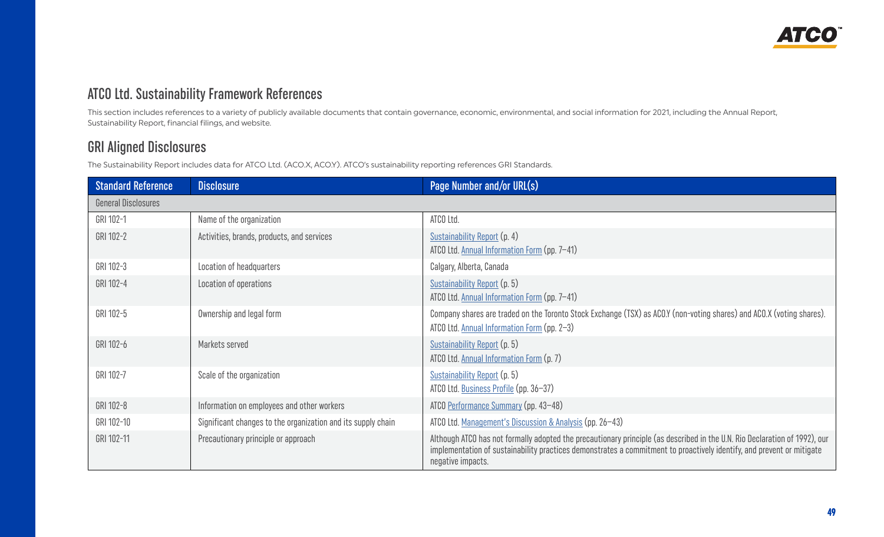

## <span id="page-9-0"></span>ATCO Ltd. Sustainability Framework References

This section includes references to a variety of publicly available documents that contain governance, economic, environmental, and social information for 2021, including the Annual Report, Sustainability Report, financial filings, and website.

## GRI Aligned Disclosures

The Sustainability Report includes data for ATCO Ltd. (ACO.X, ACO.Y). ATCO's sustainability reporting references GRI Standards.

| <b>Standard Reference</b>  | <b>Disclosure</b>                                            | Page Number and/or URL(s)                                                                                                                                                                                                                                                |
|----------------------------|--------------------------------------------------------------|--------------------------------------------------------------------------------------------------------------------------------------------------------------------------------------------------------------------------------------------------------------------------|
| <b>General Disclosures</b> |                                                              |                                                                                                                                                                                                                                                                          |
| GRI 102-1                  | Name of the organization                                     | ATCO Ltd.                                                                                                                                                                                                                                                                |
| GRI 102-2                  | Activities, brands, products, and services                   | Sustainability Report (p. 4)<br>ATCO Ltd. Annual Information Form (pp. 7-41)                                                                                                                                                                                             |
| GRI 102-3                  | Location of headquarters                                     | Calgary, Alberta, Canada                                                                                                                                                                                                                                                 |
| GRI 102-4                  | Location of operations                                       | Sustainability Report (p. 5)<br>ATCO Ltd. Annual Information Form (pp. 7-41)                                                                                                                                                                                             |
| GRI 102-5                  | Ownership and legal form                                     | Company shares are traded on the Toronto Stock Exchange (TSX) as ACO.Y (non-voting shares) and ACO.X (voting shares).<br>ATCO Ltd. Annual Information Form (pp. 2-3)                                                                                                     |
| GRI 102-6                  | Markets served                                               | Sustainability Report (p. 5)<br>ATCO Ltd. Annual Information Form (p. 7)                                                                                                                                                                                                 |
| GRI 102-7                  | Scale of the organization                                    | Sustainability Report (p. 5)<br>ATCO Ltd. Business Profile (pp. 36-37)                                                                                                                                                                                                   |
| GRI 102-8                  | Information on employees and other workers                   | ATCO Performance Summary (pp. 43-48)                                                                                                                                                                                                                                     |
| GRI 102-10                 | Significant changes to the organization and its supply chain | ATCO Ltd. Management's Discussion & Analysis (pp. 26-43)                                                                                                                                                                                                                 |
| GRI 102-11                 | Precautionary principle or approach                          | Although ATCO has not formally adopted the precautionary principle (as described in the U.N. Rio Declaration of 1992), our<br>implementation of sustainability practices demonstrates a commitment to proactively identify, and prevent or mitigate<br>negative impacts. |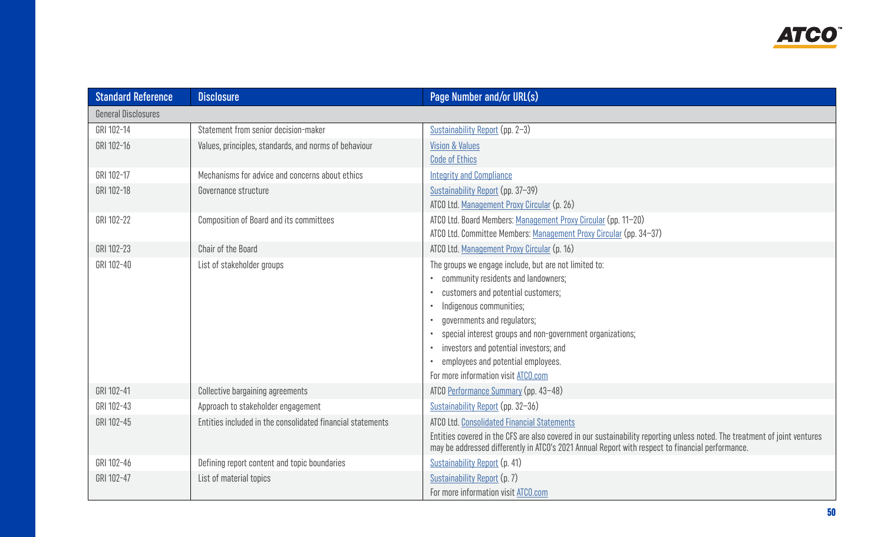| <b>Standard Reference</b>  | <b>Disclosure</b>                                          | Page Number and/or URL(s)                                                                                                                                                                                                                                                                                                                                                                                  |
|----------------------------|------------------------------------------------------------|------------------------------------------------------------------------------------------------------------------------------------------------------------------------------------------------------------------------------------------------------------------------------------------------------------------------------------------------------------------------------------------------------------|
| <b>General Disclosures</b> |                                                            |                                                                                                                                                                                                                                                                                                                                                                                                            |
| GRI 102-14                 | Statement from senior decision-maker                       | Sustainability Report (pp. 2-3)                                                                                                                                                                                                                                                                                                                                                                            |
| GRI 102-16                 | Values, principles, standards, and norms of behaviour      | <b>Vision &amp; Values</b><br><b>Code of Ethics</b>                                                                                                                                                                                                                                                                                                                                                        |
| GRI 102-17                 | Mechanisms for advice and concerns about ethics            | <b>Integrity and Compliance</b>                                                                                                                                                                                                                                                                                                                                                                            |
| GRI 102-18                 | Governance structure                                       | Sustainability Report (pp. 37-39)<br>ATCO Ltd. Management Proxy Circular (p. 26)                                                                                                                                                                                                                                                                                                                           |
| GRI 102-22                 | <b>Composition of Board and its committees</b>             | ATCO Ltd. Board Members: Management Proxy Circular (pp. 11-20)<br>ATCO Ltd. Committee Members: Management Proxy Circular (pp. 34-37)                                                                                                                                                                                                                                                                       |
| GRI 102-23                 | Chair of the Board                                         | ATCO Ltd. Management Proxy Circular (p. 16)                                                                                                                                                                                                                                                                                                                                                                |
| GRI 102-40                 | List of stakeholder groups                                 | The groups we engage include, but are not limited to:<br>community residents and landowners;<br>customers and potential customers;<br>Indigenous communities;<br>$\bullet$<br>governments and regulators;<br>$\bullet$<br>special interest groups and non-government organizations;<br>investors and potential investors; and<br>employees and potential employees.<br>For more information visit ATCO.com |
| GRI 102-41                 | <b>Collective bargaining agreements</b>                    | ATCO Performance Summary (pp. 43-48)                                                                                                                                                                                                                                                                                                                                                                       |
| GRI 102-43                 | Approach to stakeholder engagement                         | Sustainability Report (pp. 32-36)                                                                                                                                                                                                                                                                                                                                                                          |
| GRI 102-45                 | Entities included in the consolidated financial statements | <b>ATCO Ltd. Consolidated Financial Statements</b><br>Entities covered in the CFS are also covered in our sustainability reporting unless noted. The treatment of joint ventures<br>may be addressed differently in ATCO's 2021 Annual Report with respect to financial performance.                                                                                                                       |
| GRI 102-46                 | Defining report content and topic boundaries               | Sustainability Report (p. 41)                                                                                                                                                                                                                                                                                                                                                                              |
| GRI 102-47                 | List of material topics                                    | Sustainability Report (p. 7)<br>For more information visit ATCO.com                                                                                                                                                                                                                                                                                                                                        |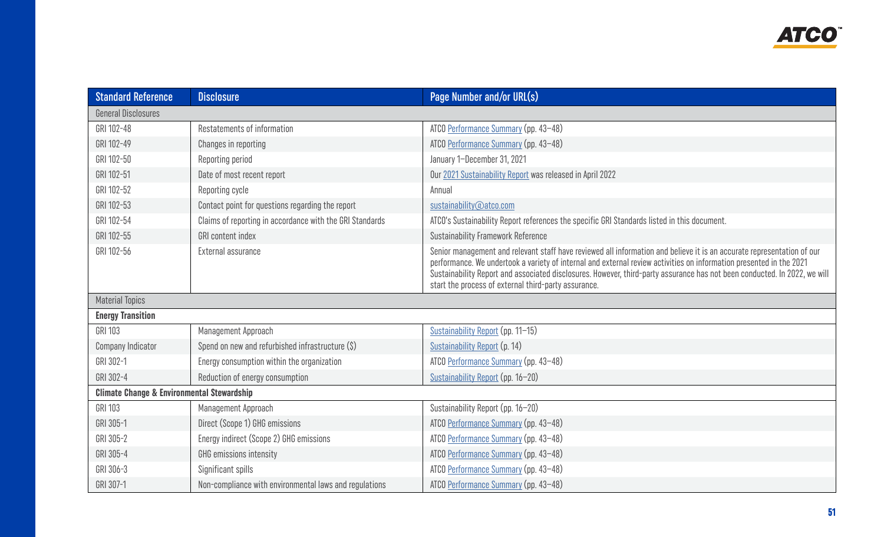| <b>Standard Reference</b>                             | <b>Disclosure</b>                                        | Page Number and/or URL(s)                                                                                                                                                                                                                                                                                                                                                                                                          |
|-------------------------------------------------------|----------------------------------------------------------|------------------------------------------------------------------------------------------------------------------------------------------------------------------------------------------------------------------------------------------------------------------------------------------------------------------------------------------------------------------------------------------------------------------------------------|
| <b>General Disclosures</b>                            |                                                          |                                                                                                                                                                                                                                                                                                                                                                                                                                    |
| GRI 102-48                                            | Restatements of information                              | ATCO Performance Summary (pp. 43-48)                                                                                                                                                                                                                                                                                                                                                                                               |
| GRI 102-49                                            | Changes in reporting                                     | ATCO Performance Summary (pp. 43-48)                                                                                                                                                                                                                                                                                                                                                                                               |
| GRI 102-50                                            | Reporting period                                         | January 1-December 31, 2021                                                                                                                                                                                                                                                                                                                                                                                                        |
| GRI 102-51                                            | Date of most recent report                               | Our 2021 Sustainability Report was released in April 2022                                                                                                                                                                                                                                                                                                                                                                          |
| GRI 102-52                                            | Reporting cycle                                          | Annual                                                                                                                                                                                                                                                                                                                                                                                                                             |
| GRI 102-53                                            | Contact point for questions regarding the report         | sustainability@atco.com                                                                                                                                                                                                                                                                                                                                                                                                            |
| GRI 102-54                                            | Claims of reporting in accordance with the GRI Standards | ATCO's Sustainability Report references the specific GRI Standards listed in this document.                                                                                                                                                                                                                                                                                                                                        |
| GRI 102-55                                            | GRI content index                                        | <b>Sustainability Framework Reference</b>                                                                                                                                                                                                                                                                                                                                                                                          |
| GRI 102-56                                            | External assurance                                       | Senior management and relevant staff have reviewed all information and believe it is an accurate representation of our<br>performance. We undertook a variety of internal and external review activities on information presented in the 2021<br>Sustainability Report and associated disclosures. However, third-party assurance has not been conducted. In 2022, we will<br>start the process of external third-party assurance. |
| <b>Material Topics</b>                                |                                                          |                                                                                                                                                                                                                                                                                                                                                                                                                                    |
| <b>Energy Transition</b>                              |                                                          |                                                                                                                                                                                                                                                                                                                                                                                                                                    |
| GRI 103                                               | Management Approach                                      | Sustainability Report (pp. 11-15)                                                                                                                                                                                                                                                                                                                                                                                                  |
| <b>Company Indicator</b>                              | Spend on new and refurbished infrastructure (\$)         | Sustainability Report (p. 14)                                                                                                                                                                                                                                                                                                                                                                                                      |
| GRI 302-1                                             | Energy consumption within the organization               | ATCO Performance Summary (pp. 43-48)                                                                                                                                                                                                                                                                                                                                                                                               |
| GRI 302-4                                             | Reduction of energy consumption                          | Sustainability Report (pp. 16-20)                                                                                                                                                                                                                                                                                                                                                                                                  |
| <b>Climate Change &amp; Environmental Stewardship</b> |                                                          |                                                                                                                                                                                                                                                                                                                                                                                                                                    |
| GRI 103                                               | Management Approach                                      | Sustainability Report (pp. 16-20)                                                                                                                                                                                                                                                                                                                                                                                                  |
| GRI 305-1                                             | Direct (Scope 1) GHG emissions                           | ATCO Performance Summary (pp. 43-48)                                                                                                                                                                                                                                                                                                                                                                                               |
| GRI 305-2                                             | Energy indirect (Scope 2) GHG emissions                  | ATCO Performance Summary (pp. 43-48)                                                                                                                                                                                                                                                                                                                                                                                               |
| GRI 305-4                                             | GHG emissions intensity                                  | ATCO Performance Summary (pp. 43-48)                                                                                                                                                                                                                                                                                                                                                                                               |
| GRI 306-3                                             | Significant spills                                       | ATCO Performance Summary (pp. 43-48)                                                                                                                                                                                                                                                                                                                                                                                               |
| GRI 307-1                                             | Non-compliance with environmental laws and regulations   | ATCO Performance Summary (pp. 43-48)                                                                                                                                                                                                                                                                                                                                                                                               |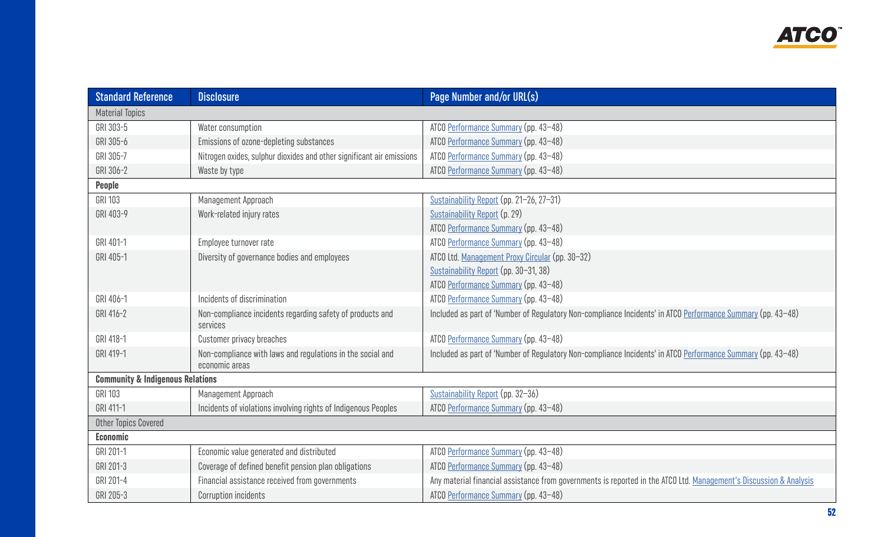| <b>Standard Reference</b>                   | <b>Disclosure</b>                                                            | Page Number and/or URL(s)                                                                                          |
|---------------------------------------------|------------------------------------------------------------------------------|--------------------------------------------------------------------------------------------------------------------|
| <b>Material Topics</b>                      |                                                                              |                                                                                                                    |
| GRI 303-5                                   | Water consumption                                                            | ATCO Performance Summary (pp. 43-48)                                                                               |
| GRI 305-6                                   | Emissions of ozone-depleting substances                                      | ATCO Performance Summary (pp. 43-48)                                                                               |
| GRI 305-7                                   | Nitrogen oxides, sulphur dioxides and other significant air emissions        | ATCO Performance Summary (pp. 43-48)                                                                               |
| GRI 306-2                                   | Waste by type                                                                | ATCO Performance Summary (pp. 43-48)                                                                               |
| People                                      |                                                                              |                                                                                                                    |
| GRI 103                                     | Management Approach                                                          | Sustainability Report (pp. 21-26, 27-31)                                                                           |
| GRI 403-9                                   | Work-related injury rates                                                    | Sustainability Report (p. 29)                                                                                      |
|                                             |                                                                              | ATCO Performance Summary (pp. 43-48)                                                                               |
| GRI 401-1                                   | Employee turnover rate                                                       | ATCO Performance Summary (pp. 43-48)                                                                               |
| GRI 405-1                                   | Diversity of governance bodies and employees                                 | ATCO Ltd. Management Proxy Circular (pp. 30-32)                                                                    |
|                                             |                                                                              | Sustainability Report (pp. 30-31, 38)                                                                              |
|                                             |                                                                              | ATCO Performance Summary (pp. 43-48)                                                                               |
| GRI 406-1                                   | Incidents of discrimination                                                  | ATCO Performance Summary (pp. 43-48)                                                                               |
| GRI 416-2                                   | Non-compliance incidents regarding safety of products and<br>services        | Included as part of 'Number of Regulatory Non-compliance Incidents' in ATCO Performance Summary (pp. 43-48)        |
| GRI 418-1                                   | Customer privacy breaches                                                    | ATCO Performance Summary (pp. 43-48)                                                                               |
| GRI 419-1                                   | Non-compliance with laws and regulations in the social and<br>economic areas | Included as part of 'Number of Regulatory Non-compliance Incidents' in ATCO Performance Summary (pp. 43-48)        |
| <b>Community &amp; Indigenous Relations</b> |                                                                              |                                                                                                                    |
| <b>GRI 103</b>                              | Management Approach                                                          | Sustainability Report (pp. 32-36)                                                                                  |
| GRI 411-1                                   | Incidents of violations involving rights of Indigenous Peoples               | ATCO Performance Summary (pp. 43-48)                                                                               |
| <b>Other Topics Covered</b>                 |                                                                              |                                                                                                                    |
| <b>Economic</b>                             |                                                                              |                                                                                                                    |
| GRI 201-1                                   | Economic value generated and distributed                                     | ATCO Performance Summary (pp. 43-48)                                                                               |
| GRI 201-3                                   | Coverage of defined benefit pension plan obligations                         | ATCO Performance Summary (pp. 43-48)                                                                               |
| GRI 201-4                                   | Financial assistance received from governments                               | Any material financial assistance from governments is reported in the ATCO Ltd. Management's Discussion & Analysis |
| GRI 205-3                                   | <b>Corruption incidents</b>                                                  | ATCO Performance Summary (pp. 43-48)                                                                               |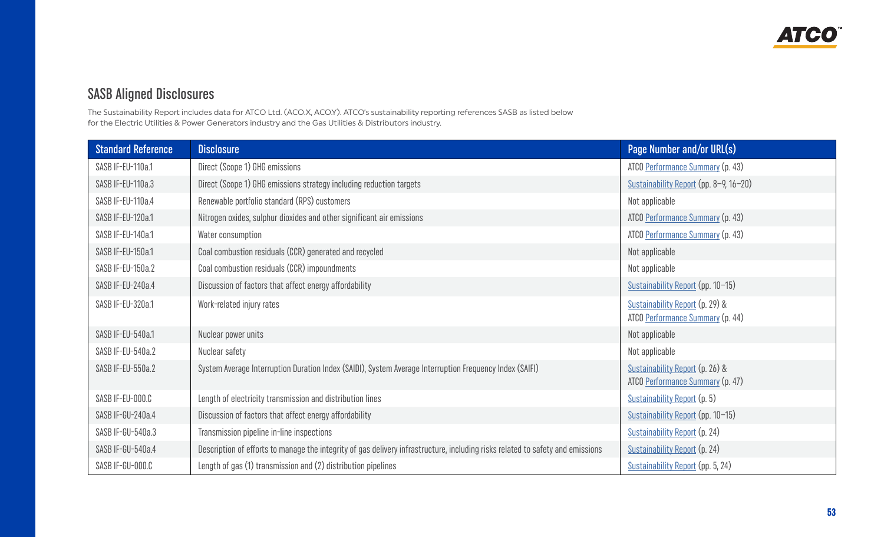## <span id="page-13-0"></span>SASB Aligned Disclosures

The Sustainability Report includes data for ATCO Ltd. (ACO.X, ACO.Y). ATCO's sustainability reporting references SASB as listed below for the Electric Utilities & Power Generators industry and the Gas Utilities & Distributors industry.

| <b>Standard Reference</b> | <b>Disclosure</b>                                                                                                              | Page Number and/or URL(s)                                           |
|---------------------------|--------------------------------------------------------------------------------------------------------------------------------|---------------------------------------------------------------------|
| SASB IF-EU-110a.1         | Direct (Scope 1) GHG emissions                                                                                                 | ATCO Performance Summary (p. 43)                                    |
| SASB IF-EU-110a.3         | Direct (Scope 1) GHG emissions strategy including reduction targets                                                            | Sustainability Report (pp. 8-9, 16-20)                              |
| SASB IF-EU-110a.4         | Renewable portfolio standard (RPS) customers                                                                                   | Not applicable                                                      |
| SASB IF-EU-120a.1         | Nitrogen oxides, sulphur dioxides and other significant air emissions                                                          | ATCO Performance Summary (p. 43)                                    |
| SASB IF-EU-140a.1         | Water consumption                                                                                                              | ATCO Performance Summary (p. 43)                                    |
| SASB IF-EU-150a.1         | Coal combustion residuals (CCR) generated and recycled                                                                         | Not applicable                                                      |
| SASB IF-EU-150a.2         | Coal combustion residuals (CCR) impoundments                                                                                   | Not applicable                                                      |
| SASB IF-EU-240a.4         | Discussion of factors that affect energy affordability                                                                         | Sustainability Report (pp. 10-15)                                   |
| SASB IF-EU-320a.1         | Work-related injury rates                                                                                                      | Sustainability Report (p. 29) &<br>ATCO Performance Summary (p. 44) |
| SASB IF-EU-540a.1         | Nuclear power units                                                                                                            | Not applicable                                                      |
| SASB IF-EU-540a.2         | Nuclear safety                                                                                                                 | Not applicable                                                      |
| SASB IF-EU-550a.2         | System Average Interruption Duration Index (SAIDI), System Average Interruption Frequency Index (SAIFI)                        | Sustainability Report (p. 26) &<br>ATCO Performance Summary (p. 47) |
| SASB IF-EU-000.C          | Length of electricity transmission and distribution lines                                                                      | Sustainability Report (p. 5)                                        |
| SASB IF-GU-240a.4         | Discussion of factors that affect energy affordability                                                                         | Sustainability Report (pp. 10-15)                                   |
| SASB IF-GU-540a.3         | Transmission pipeline in-line inspections                                                                                      | Sustainability Report (p. 24)                                       |
| SASB IF-GU-540a.4         | Description of efforts to manage the integrity of gas delivery infrastructure, including risks related to safety and emissions | Sustainability Report (p. 24)                                       |
| SASB IF-GU-000.C          | Length of gas (1) transmission and (2) distribution pipelines                                                                  | Sustainability Report (pp. 5, 24)                                   |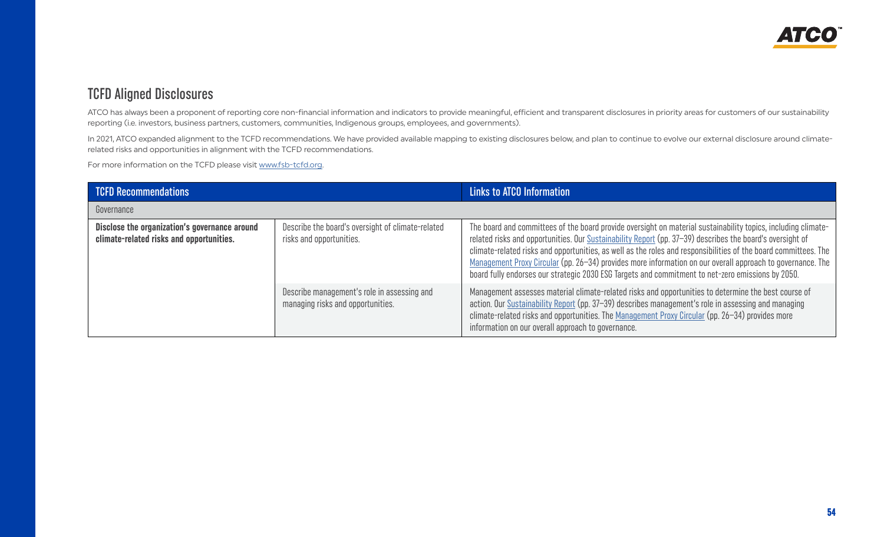## <span id="page-14-0"></span>TCFD Aligned Disclosures

ATCO has always been a proponent of reporting core non-financial information and indicators to provide meaningful, efficient and transparent disclosures in priority areas for customers of our sustainability reporting (i.e. investors, business partners, customers, communities, Indigenous groups, employees, and governments).

In 2021, ATCO expanded alignment to the TCFD recommendations. We have provided available mapping to existing disclosures below, and plan to continue to evolve our external disclosure around climaterelated risks and opportunities in alignment with the TCFD recommendations.

For more information on the TCFD please visit [www.fsb-tcfd.org.](http://www.fsb-tcfd.org/)

| <b>TCFD Recommendations</b>                                                               |                                                                                  | Links to ATCO Information                                                                                                                                                                                                                                                                                                                                                                                                                                                                                                                                        |
|-------------------------------------------------------------------------------------------|----------------------------------------------------------------------------------|------------------------------------------------------------------------------------------------------------------------------------------------------------------------------------------------------------------------------------------------------------------------------------------------------------------------------------------------------------------------------------------------------------------------------------------------------------------------------------------------------------------------------------------------------------------|
| Governance                                                                                |                                                                                  |                                                                                                                                                                                                                                                                                                                                                                                                                                                                                                                                                                  |
| Disclose the organization's governance around<br>climate-related risks and opportunities. | Describe the board's oversight of climate-related<br>risks and opportunities.    | The board and committees of the board provide oversight on material sustainability topics, including climate-<br>related risks and opportunities. Our Sustainability Report (pp. 37-39) describes the board's oversight of<br>climate-related risks and opportunities, as well as the roles and responsibilities of the board committees. The<br>Management Proxy Circular (pp. 26–34) provides more information on our overall approach to governance. The<br>board fully endorses our strategic 2030 ESG Targets and commitment to net-zero emissions by 2050. |
|                                                                                           | Describe management's role in assessing and<br>managing risks and opportunities. | Management assesses material climate-related risks and opportunities to determine the best course of<br>action. Our Sustainability Report (pp. 37-39) describes management's role in assessing and managing<br>climate-related risks and opportunities. The Management Proxy Circular (pp. 26-34) provides more<br>information on our overall approach to governance.                                                                                                                                                                                            |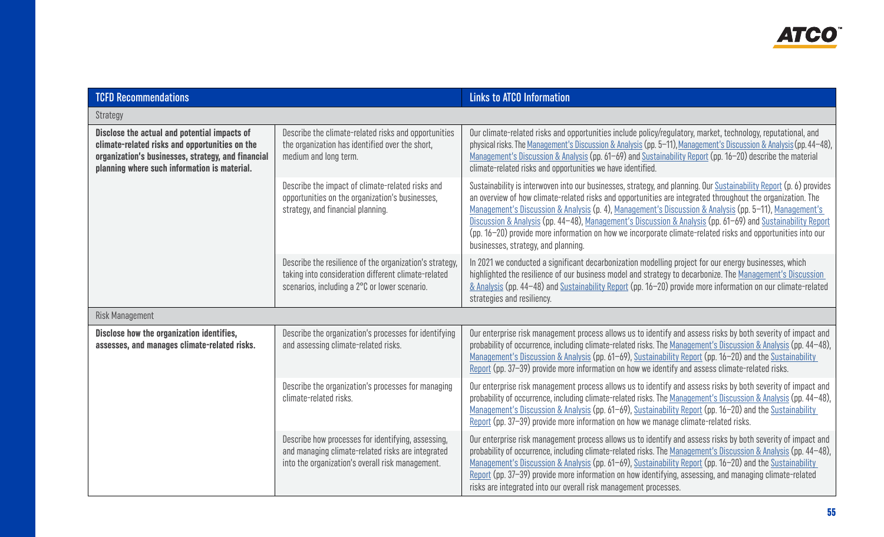| <b>TCFD Recommendations</b>                                                                                                                                                                          |                                                                                                                                                                 | <b>Links to ATCO Information</b>                                                                                                                                                                                                                                                                                                                                                                                                                                                                                                                                                                                 |
|------------------------------------------------------------------------------------------------------------------------------------------------------------------------------------------------------|-----------------------------------------------------------------------------------------------------------------------------------------------------------------|------------------------------------------------------------------------------------------------------------------------------------------------------------------------------------------------------------------------------------------------------------------------------------------------------------------------------------------------------------------------------------------------------------------------------------------------------------------------------------------------------------------------------------------------------------------------------------------------------------------|
| Strategy                                                                                                                                                                                             |                                                                                                                                                                 |                                                                                                                                                                                                                                                                                                                                                                                                                                                                                                                                                                                                                  |
| Disclose the actual and potential impacts of<br>climate-related risks and opportunities on the<br>organization's businesses, strategy, and financial<br>planning where such information is material. | Describe the climate-related risks and opportunities<br>the organization has identified over the short,<br>medium and long term.                                | Our climate-related risks and opportunities include policy/regulatory, market, technology, reputational, and<br>physical risks. The Management's Discussion & Analysis (pp. 5-11), Management's Discussion & Analysis (pp. 44-48),<br>Management's Discussion & Analysis (pp. 61-69) and Sustainability Report (pp. 16-20) describe the material<br>climate-related risks and opportunities we have identified.                                                                                                                                                                                                  |
|                                                                                                                                                                                                      | Describe the impact of climate-related risks and<br>opportunities on the organization's businesses,<br>strategy, and financial planning.                        | Sustainability is interwoven into our businesses, strategy, and planning. Our Sustainability Report (p. 6) provides<br>an overview of how climate-related risks and opportunities are integrated throughout the organization. The<br>Management's Discussion & Analysis (p. 4), Management's Discussion & Analysis (pp. 5-11), Management's<br>Discussion & Analysis (pp. 44-48), Management's Discussion & Analysis (pp. 61-69) and Sustainability Report<br>(pp. 16–20) provide more information on how we incorporate climate-related risks and opportunities into our<br>businesses, strategy, and planning. |
|                                                                                                                                                                                                      | Describe the resilience of the organization's strategy,<br>taking into consideration different climate-related<br>scenarios, including a 2°C or lower scenario. | In 2021 we conducted a significant decarbonization modelling project for our energy businesses, which<br>highlighted the resilience of our business model and strategy to decarbonize. The Management's Discussion<br>& Analysis (pp. 44-48) and Sustainability Report (pp. 16-20) provide more information on our climate-related<br>strategies and resiliency.                                                                                                                                                                                                                                                 |
| <b>Risk Management</b>                                                                                                                                                                               |                                                                                                                                                                 |                                                                                                                                                                                                                                                                                                                                                                                                                                                                                                                                                                                                                  |
| Disclose how the organization identifies,<br>assesses, and manages climate-related risks.                                                                                                            | Describe the organization's processes for identifying<br>and assessing climate-related risks.                                                                   | Our enterprise risk management process allows us to identify and assess risks by both severity of impact and<br>probability of occurrence, including climate-related risks. The Management's Discussion & Analysis (pp. 44-48),<br>Management's Discussion & Analysis (pp. 61-69), Sustainability Report (pp. 16-20) and the Sustainability<br>Report (pp. 37-39) provide more information on how we identify and assess climate-related risks.                                                                                                                                                                  |
|                                                                                                                                                                                                      | Describe the organization's processes for managing<br>climate-related risks.                                                                                    | Our enterprise risk management process allows us to identify and assess risks by both severity of impact and<br>probability of occurrence, including climate-related risks. The Management's Discussion & Analysis (pp. 44-48),<br>Management's Discussion & Analysis (pp. 61–69), Sustainability Report (pp. 16–20) and the Sustainability<br>Report (pp. 37–39) provide more information on how we manage climate-related risks.                                                                                                                                                                               |
|                                                                                                                                                                                                      | Describe how processes for identifying, assessing,<br>and managing climate-related risks are integrated<br>into the organization's overall risk management.     | Our enterprise risk management process allows us to identify and assess risks by both severity of impact and<br>probability of occurrence, including climate-related risks. The Management's Discussion & Analysis (pp. 44-48),<br>Management's Discussion & Analysis (pp. 61-69), Sustainability Report (pp. 16-20) and the Sustainability<br>Report (pp. 37-39) provide more information on how identifying, assessing, and managing climate-related<br>risks are integrated into our overall risk management processes.                                                                                       |